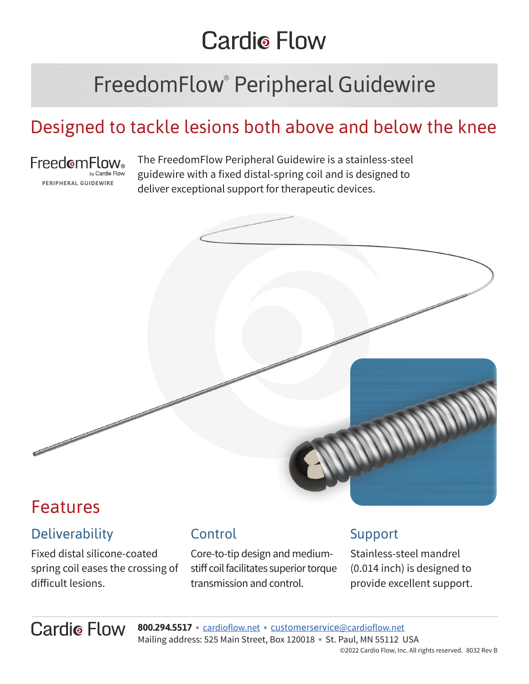# **Cardio Flow**

# FreedomFlow® Peripheral Guidewire

## Designed to tackle lesions both above and below the knee



The FreedomFlow Peripheral Guidewire is a stainless-steel guidewire with a fixed distal-spring coil and is designed to deliver exceptional support for therapeutic devices.



## Features

### **Deliverability**

Fixed distal silicone-coated spring coil eases the crossing of difficult lesions.

### Control

Core-to-tip design and mediumstiff coil facilitates superior torque transmission and control.

#### Support

Stainless-steel mandrel (0.014 inch) is designed to provide excellent support.

**Cardio Flow 800.294.5517 Example 10 control of the customerservice@[cardioflow.net](https://cardioflow.net/)** Mailing address: 525 Main Street, Box 120018 • St. Paul, MN 55112 USA ©2022 Cardio Flow, Inc. All rights reserved. 8032 Rev B